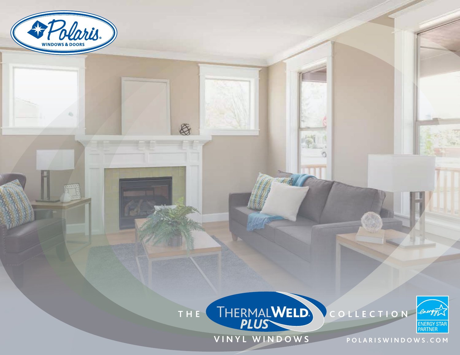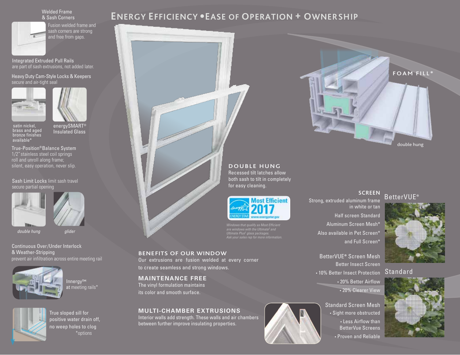### Welded Frame & Sash Corners

Fusion welded frame and sash corners are strong and free from gaps.

### Integrated Extruded Pull Rails are part of sash extrusions, not added later.

#### Heavy Duty Cam-Style Locks & Keepers secure and air-tight seal





energySMART® Insulated Glass

satin nickel, brass and aged bronze finishes available\*

True-Position®Balance System 1/2"stainless steel coil springs roll and unroll along frame; silent, easy operation, never slip.

## Sash Limit Locks limit sash travel secure partial opening



*double hung*

Continuous Over/Under Interlock & Weather-Stripping prevent air infiltration across entire meeting rail

*glider*



True sloped sill for positive water drain off, no weep holes to clog \*options

# **ENERGY EFFICIENCY** ●**EASE OF OPERATION + OWNERSHIP**



**DOUBLE HUNG** Recessed tilt latches allow both sash to tilt in completely for easy cleaning.



*Windows that qualify as Most Efficient<br>are windows with the Ultimate<sup>2</sup> and<br>Ultimate Plus<sup>2</sup> glass packages.<br>Ask your sales rep for more information.* 

**BENEFITS OF OUR WINDOW** Our extrusions are fusion welded at every corner to create seamless and strong windows.

**MAINTENANCE FREE** The vinyl formulation maintains its color and smooth surface.

## **MULTI-CHAMBER EXTRUSIONS**

Interior walls add strength. These walls and air chambers between further improve insulating properties.

## Strong, extruded aluminum frame in white or tan Half screen Standard Aluminum Screen Mesh\* Also available in Pet Screen\*

and Full Screen\* BetterVUE**®** Screen Mesh Better Insect Screen

• 10% Better Insect Protection

• 20% Better Airflow • 20% Clearer View

Standard Screen Mesh • Sight more obstructed • Less Airflow than BetterVue Screens • Proven and Reliable

### **SCREEN** BetterVUE®



**Standard** 

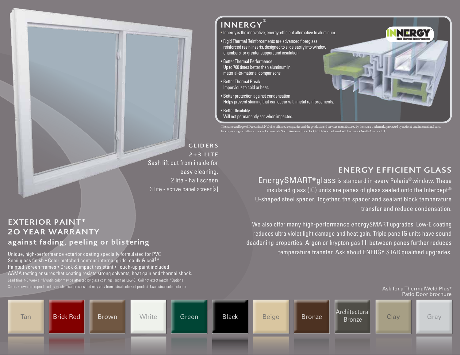

**2+3 LITE** Sash lift out from inside for easy cleaning. 2 lite - half screen 3 lite - active panel screen[s]

## **EXTERIOR PAINT\* 2O YEAR WARRANTY against fading, peeling or blistering**

Unique, high-performance exterior coating specially formulated for PVC Semi gloss finish • Color matched contour internal grids, caulk & coil‡\* Painted screen frames • Crack & impact resistant • Touch-up paint included AAMA testing ensures that coating resists strong solvents, heat gain and thermal shock. Lead time 4-6 weeks  $\pm$ Muntin color may be affected by glass coatings, such as Low-E. Coil not exact match \*Options Colors shown are reproduced by mechanical process and may vary from actual colors of product. Use actual color selector.

# **INNERGY**

• Innergy is the innovative, energy-efficient alternative to aluminum.

• Rigid Thermal Reinforcements are advanced fiberglass reinforced resin inserts, designed to slide easily into window chambers for greater support and insulation.

**®**

- Better Thermal Performance Up to 700 times better than aluminum in material-to-material comparisons.
- Better Thermal Break Impervious to cold or heat.
- Better protection against condensation Helps prevent staining that can occur with metal reinforcements.
- Better flexibility Will not permanently set when impacted.

The name and logo of Deceuninck NV, of its affiliated companies and the products and services manufactured by them, are trademarks protected by national and international law Innergy is a registered trademark of Deceuninck North America. The color GREEN is a trademark of Deceuninck North America LLC.

## **ENERGY EFFICIENT GLASS**

NERG

EnergySMART®glass is standard in every Polaris®window. These insulated glass (IG) units are panes of glass sealed onto the Intercept® U-shaped steel spacer. Together, the spacer and sealant block temperature transfer and reduce condensation.

We also offer many high-performance energySMART upgrades. Low-E coating reduces ultra violet light damage and heat gain. Triple pane IG units have sound deadening properties. Argon or krypton gas fill between panes further reduces temperature transfer. Ask about ENERGY STAR qualified upgrades.